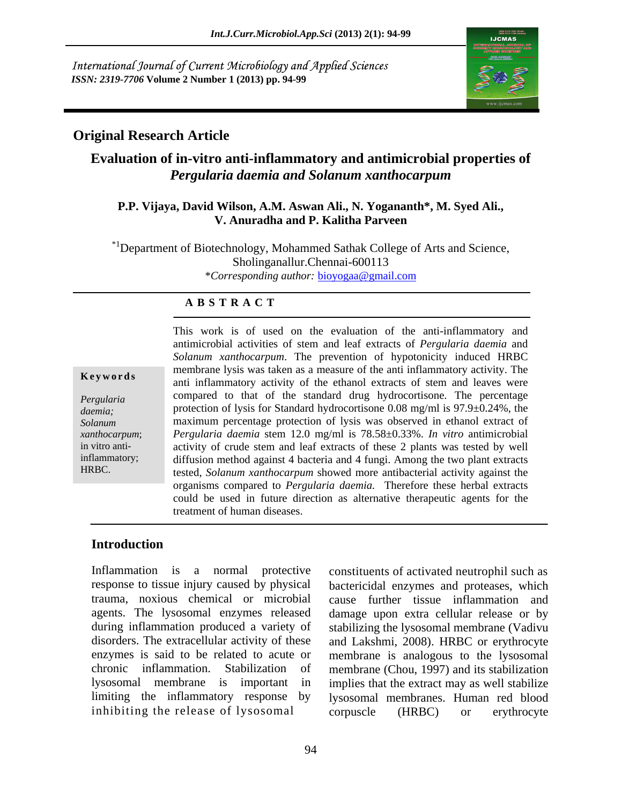International Journal of Current Microbiology and Applied Sciences *ISSN: 2319-7706* **Volume 2 Number 1 (2013) pp. 94-99**



## **Original Research Article**

# **Evaluation of in-vitro anti-inflammatory and antimicrobial properties of**  *Pergularia daemia and Solanum xanthocarpum*

#### **P.P. Vijaya, David Wilson, A.M. Aswan Ali., N. Yogananth\*, M. Syed Ali., V. Anuradha and P. Kalitha Parveen**

\*1Department of Biotechnology, Mohammed Sathak College of Arts and Science, Sholinganallur.Chennai-600113 \**Corresponding author:* bioyogaa@gmail.com

#### **A B S T R A C T**

in vitro anti-

**Keywords** anti-inflammatory activity of the ethanol extracts of stem and leaves were *Pergularia* compared to that of the standard drug hydrocortisone. The percentage *daemia;* protection of lysis for Standard hydrocortisone 0.08 mg/ml is 97.9±0.24%, the *Solanum* maximum percentage protection of lysis was observed in ethanol extract of *xanthocarpum*; *Pergularia daemia* stem 12.0 mg/ml is 78.58±0.33%. *In vitro* antimicrobial inflammatory; diffusion method against 4 bacteria and 4 fungi. Among the two plant extracts This work is of used on the evaluation of the anti-inflammatory and<br>antimicrobial activities of stem and leaf extracts of *Pergularia daemia* and<br>*Solarum xanthocarpum*. The prevention of hypotonicity induced HRBC<br>membran antimicrobial activities of stem and leaf extracts of *Pergularia daemia* and *Solanum xanthocarpum*. The prevention of hypotonicity induced HRBC membrane lysis was taken as a measure of the anti inflammatory activity. The activity of crude stem and leaf extracts of these 2 plants was tested by well tested, *Solanum xanthocarpum* showed more antibacterial activity against the organisms compared to *Pergularia daemia.* Therefore these herbal extracts could be used in future direction as alternative therapeutic agents for the treatment of human diseases.

## **Introduction**

Inflammation is a normal protective constituents of activated neutrophil such as inhibiting the release of lysosomal corpuscle (HRBC) or erythrocyte

response to tissue injury caused by physical bactericidal enzymes and proteases, which trauma, noxious chemical or microbial cause further tissue inflammation and agents. The lysosomal enzymes released damage upon extra cellular release or by during inflammation produced a variety of stabilizing the lysosomal membrane (Vadivu disorders. The extracellular activity of these and Lakshmi, 2008). HRBC or erythrocyte enzymes is said to be related to acute or membrane is analogous to the lysosomal chronic inflammation. Stabilization of membrane (Chou, 1997) and its stabilization lysosomal membrane is important in implies that the extract may as well stabilize limiting the inflammatory response by lysosomal membranes. Human red blood corpuscle (HRBC) or erythrocyte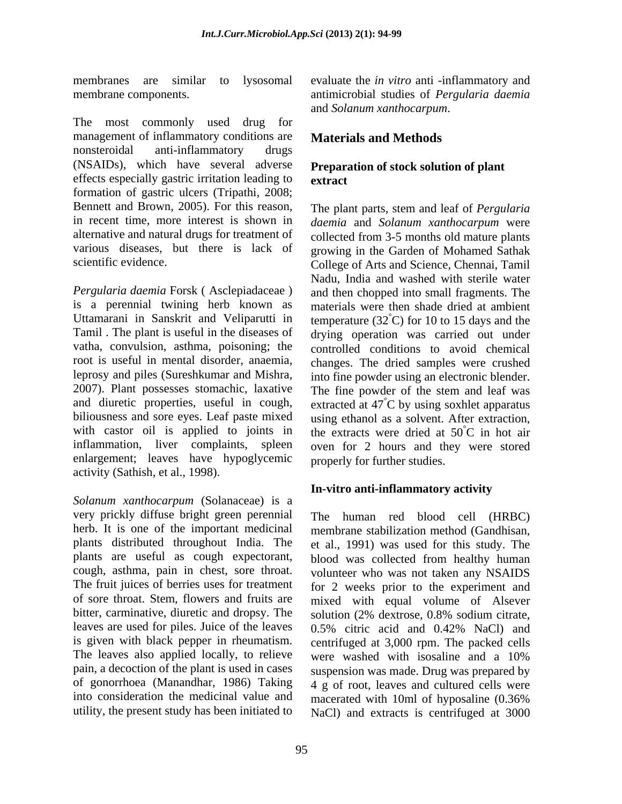The most commonly used drug for management of inflammatory conditions are nonsteroidal anti-inflammatory drugs (NSAIDs), which have several adverse effects especially gastric irritation leading to extract formation of gastric ulcers (Tripathi, 2008; Bennett and Brown, 2005). For this reason, The plant parts, stem and leaf of *Pergularia*  in recent time, more interest is shown in *daemia* and *Solanum xanthocarpum* were alternative and natural drugs for treatment of collected from 3-5 months old mature plants various diseases, but there is lack of growing in the Garden of Mohamed Sathak

*Pergularia daemia* Forsk ( Asclepiadaceae ) is a perennial twining herb known as materials were then shade dried at ambient Uttamarani in Sanskrit and Veliparutti in temperature  $(32^{\degree}C)$  for 10 to 15 days and the Tamil . The plant is useful in the diseases of drying operation was carried out under vatha, convulsion, asthma, poisoning; the root is useful in mental disorder, anaemia, changes. The dried samples were crushed leprosy and piles (Sureshkumar and Mishra, into fine powder using an electronic blender. 2007). Plant possesses stomachic, laxative The fine powder of the stem and leaf was and diuretic properties, useful in cough, extracted at  $47^{\circ}$ C by using soxhlet apparatus biliousness and sore eyes. Leaf paste mixed using ethanol as a solvent. After extraction, with castor oil is applied to joints in the extracts were dried at  $50^{\circ}$ C in hot air inflammation, liver complaints, spleen oven for 2 hours and they were stored enlargement; leaves have hypoglycemic activity (Sathish, et al., 1998).

*Solanum xanthocarpum* (Solanaceae) is a very prickly diffuse bright green perennial herb. It is one of the important medicinal membrane stabilization method (Gandhisan, plants distributed throughout India. The et al., 1991) was used for this study. The leaves are used for piles. Juice of the leaves 0.5% citric acid and 0.42% NaCl) and The leaves also applied locally, to relieve were washed with isosaline and a 10% into consideration the medicinal value and macerated with 10ml of hyposaline (0.36%)

membranes are similar to lysosomal evaluate the *in vitro* anti -inflammatory and membrane components. antimicrobial studies of *Pergularia daemia* and *Solanum xanthocarpum*.

# **Materials and Methods**

#### **Preparation of stock solution of plant extract**

scientific evidence. College of Arts and Science, Chennai, Tamil Nadu, India and washed with sterile water and then chopped into small fragments. The controlled conditions to avoid chemical °C by using soxhlet apparatus °C in hot air properly for further studies.

## **In-vitro anti-inflammatory activity**

plants are useful as cough expectorant, blood was collected from healthy human cough, asthma, pain in chest, sore throat. volunteer who was not taken any NSAIDS The fruit juices of berries uses for treatment for 2 weeks prior to the experiment and of sore throat. Stem, flowers and fruits are mixed with equal volume of Alsever bitter, carminative, diuretic and dropsy. The solution (2% dextrose, 0.8% sodium citrate, is given with black pepper in rheumatism. centrifuged at 3,000 rpm. The packed cells pain, a decoction of the plant is used in cases suspension was made. Drug was prepared by of gonorrhoea (Manandhar, 1986) Taking 4 g of root, leaves and cultured cells were utility, the present study has been initiated to NaCl) and extracts is centrifuged at 3000The human red blood cell (HRBC) membrane stabilization method (Gandhisan, et al., 1991) was used for this study. The 0.5% citric acid and 0.42% NaCl) and were washed with isosaline and a 10% macerated with 10ml of hyposaline (0.36%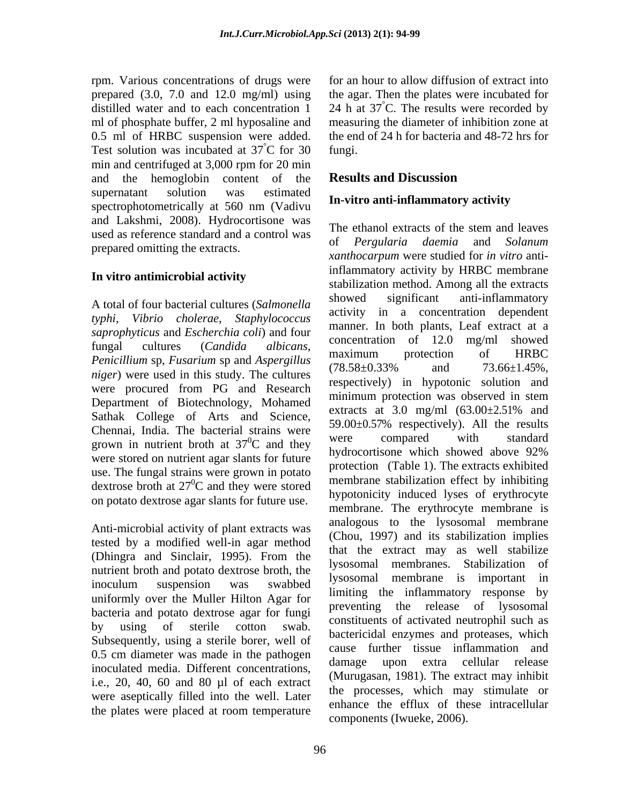rpm. Various concentrations of drugs were prepared (3.0, 7.0 and 12.0 mg/ml) using distilled water and to each concentration  $1 \quad 24$  h at  $37^{\circ}$ C. The results were recorded by ml of phosphate buffer, 2 ml hyposaline and measuring the diameter of inhibition zone at 0.5 ml of HRBC suspension were added. Test solution was incubated at  $37^{\circ}$ C for 30 fungi. min and centrifuged at 3,000 rpm for 20 min and the hemoglobin content of the **Results and Discussion** supernatant solution was estimated  $\mathbf{r}_{\text{eq}}$  situe anti-inflament contribution spectrophotometrically at 560 nm (Vadivu and Lakshmi, 2008). Hydrocortisone was used as reference standard and a control was<br>of *Pergularia daemia* and *Solanum* prepared omitting the extracts.

#### **In vitro antimicrobial activity**

*typhi*, *Vibrio cholerae*, *Staphylococcus saprophyticus* and *Escherchia coli*) and four<br>concentration of 12.0 mg/ml showed *Penicillium* sp, *Fusarium* sp and *Aspergillus* maximum protection of HRBC<br>  $(78.58 \pm 0.33\%$  and  $73.66 \pm 1.45\%$ , *niger*) were used in this study. The cultures  $(6.30 \pm 0.33\%)$  and  $(3.00 \pm 1.4\%)$ ,  $(6.30 \pm 0.33\%)$  and  $(7.00 \pm 0.35\%)$ were procured from PG and Research Department of Biotechnology, Mohamed<br>extracts at 3.0 mg/ml  $(63.00\pm2.51\%$  and<br>Satisfaction of Arts and Satisfaction extracts at 3.0 mg/ml  $(63.00\pm2.51\%$  and Sathak College of Arts and Science, Chennai, India. The bacterial strains were  $\frac{39.00 \pm 0.37\%}{270}$  respectively). All the results grown in nutrient broth at  $37^{\circ}$ C and they were stored on nutrient agar slants for future use. The fungal strains were grown in potato dextrose broth at  $27^0$ C and they were stored on potato dextrose agar slants for future use.

Anti-microbial activity of plant extracts was tested by a modified well-in agar method (Dhingra and Sinclair, 1995). From the the underlies extract may as well stabilized.<br>Isosomal membranes. Stabilization of nutrient broth and potato dextrose broth, the uniformly over the Muller Hilton Agar for<br>preventing the release of lysosomal bacteria and potato dextrose agar for fungi Subsequently, using a sterile borer, well of  $\frac{0.5}{1.6}$  cm diameter was made in the pathogen  $\frac{0.5}{1.6}$  cause furture tissue inflamination and inoculated media. Different concentrations, i.e., 20, 40, 60 and 80 µl of each extract were aseptically filled into the well. Later the plates were placed at room temperature

 $^{\circ}$ C for 30 fungi. for an hour to allow diffusion of extract into the agar. Then the plates were incubated for the end of 24 h for bacteria and 48-72 hrs for fungi.

## **Results and Discussion**

#### **In-vitro anti-inflammatory activity**

A total of four bacterial cultures (*Salmonella*  fungal cultures (*Candida albicans*,  ${}^{0}C$  and they were compared with standard  ${}^{0}C$  and they were stored membrane stabilization errect by inhibiting inoculum suspension was swabbed ysosomai including is important in by using of sterile cotton swab. Consumers of activated neuropin such as The ethanol extracts of the stem and leaves of *Pergularia daemia* and *Solanum xanthocarpum* were studied for *in vitro* antiinflammatory activity by HRBC membrane stabilization method. Among all the extracts showed significant anti-inflammatory activity in a concentration dependent manner. In both plants, Leaf extract at a concentration of 12.0 mg/ml showed maximum protection of HRBC  $(78.58\pm0.33\%)$  and  $73.66\pm1.45\%$ ,<br>respectively) in hypotonic solution and minimum protection was observed in stem extracts at 3.0 mg/ml  $(63.00\pm2.51\%$  and 59.00±0.57% respectively). All the results were compared with standard hydrocortisone which showed above 92% protection (Table 1). The extracts exhibited membrane stabilization effect by inhibiting hypotonicity induced lyses of erythrocyte membrane. The erythrocyte membrane is analogous to the lysosomal membrane (Chou, 1997) and its stabilization implies that the extract may as well stabilize lysosomal membranes. Stabilization lysosomal membrane is important in limiting the inflammatory response by preventing the release of lysosomal constituents of activated neutrophil such as bactericidal enzymes and proteases, which cause further tissue inflammation and damage upon extra cellular release (Murugasan, 1981). The extract may inhibit the processes, which may stimulate or enhance the efflux of these intracellular components (Iwueke, 2006).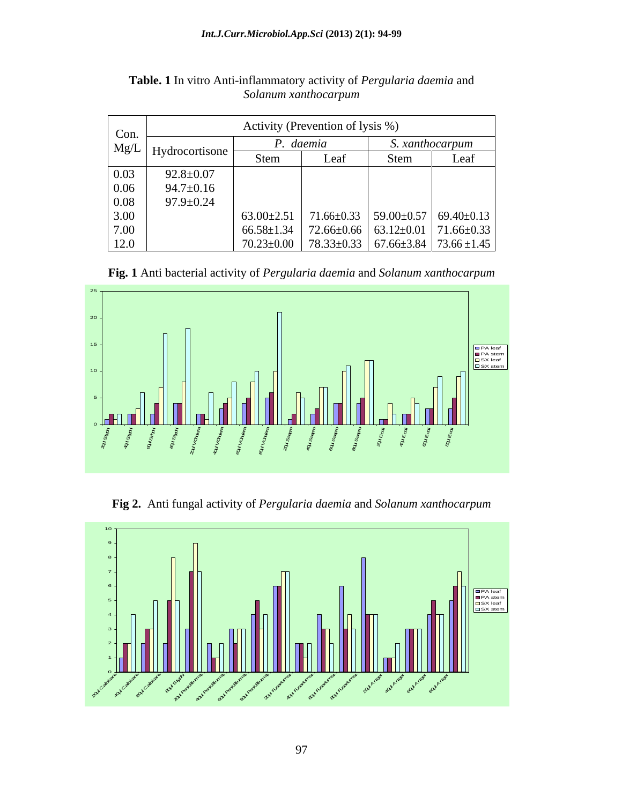| Con.     |                       | Activity (Prevention of lysis %) |      |                 |                                                                           |  |
|----------|-----------------------|----------------------------------|------|-----------------|---------------------------------------------------------------------------|--|
|          | $Mg/L$ Hydrocortisone | P. daemia                        |      | S. xanthocarpum |                                                                           |  |
|          |                       | Stem                             | Leal | Stem            | Leaf                                                                      |  |
| 0.03     | $92.8 \pm 0.07$       |                                  |      |                 |                                                                           |  |
| 0.06     | $94.7 \pm 0.16$       |                                  |      |                 |                                                                           |  |
| $0.08\,$ | $97.9 \pm 0.24$       |                                  |      |                 |                                                                           |  |
| 3.00     |                       |                                  |      |                 |                                                                           |  |
| 7.00     |                       |                                  |      |                 |                                                                           |  |
| 12.0     |                       |                                  |      |                 | $70.23 \pm 0.00$   $78.33 \pm 0.33$   $67.66 \pm 3.84$   $73.66 \pm 1.45$ |  |

**Table. 1** In vitro Anti-inflammatory activity of *Pergularia daemia* and *Solanum xanthocarpum*

**Fig. 1** Anti bacterial activity of *Pergularia daemia* and *Solanum xanthocarpum*



**Fig 2.** Anti fungal activity of *Pergularia daemia* and *Solanum xanthocarpum*

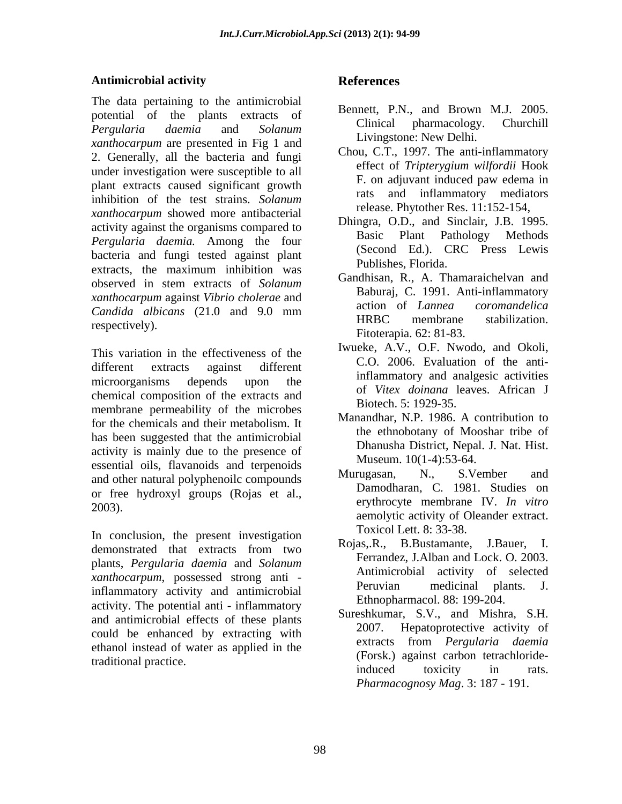#### **Antimicrobial activity**

The data pertaining to the antimicrobial potential of the plants extracts of **Bellett**, P.N., and Brown M.J. 2005. *Pergularia daemia* and *Solanum xanthocarpum* are presented in Fig 1 and 2. Generally, all the bacteria and fungi under investigation were susceptible to all<br>
F. on adjuvant induced paw edema in plant extracts caused significant growth F. O inhibition of the test strains. *Solanum xanthocarpum* showed more antibacterial activity against the organisms compared to<br>Basic Plant Pathology Methods *Pergularia daemia.* Among the four bacteria and fungi tested against plant extracts, the maximum inhibition was  $\overline{C}$  is  $\overline{D}$  and  $\overline{D}$  and  $\overline{D}$  and  $\overline{D}$  and  $\overline{D}$  and  $\overline{D}$  and  $\overline{D}$  and  $\overline{D}$  and  $\overline{D}$  and  $\overline{D}$  and  $\overline{D}$  and  $\overline{D}$  and  $\overline{D}$  and  $\over$ observed in stem extracts of *Solanum* **Canadidates Reference C** 1001 Anti-inflamentary *xanthocarpum* against *Vibrio cholerae* and *Candida albicans* (21.0 and 9.0 mm<br>HRBC membrane stabilization.

different extracts against different c.o. 2000. Evaluation of the antimicroorganisms depends upon the minimum and analysis activities chemical composition of the extracts and membrane permeability of the microbes for the chemicals and their metabolism. It has been suggested that the antimicrobial activity is mainly due to the presence of essential oils, flavanoids and terpenoids<br>
Murugasan, N., S.Vember and<br>
Murugasan, N., S.Vember and and other natural polyphenoilc compounds or free hydroxyl groups (Rojas et al.,

In conclusion, the present investigation<br>Roias...R., B.Bustamante, J.Bauer, I. demonstrated that extracts from two plants, *Pergularia daemia* and *Solanum xanthocarpum*, possessed strong anti - **Antimicropial activity of selected**<br>inflammedicinal plants. J. inflammatory activity and antimicrobial activity. The potential anti - inflammatory and antimicrobial effects of these plants<br>2007. could be enhanced by extracting with ethanol instead of water as applied in the

## **References**

- Bennett, P.N., and Brown M.J. 2005. Clinical pharmacology. Churchill Livingstone: New Delhi.
- Chou, C.T., 1997. The anti-inflammatory effect of *Tripterygium wilfordii* Hook F. on adjuvant induced paw edema in and inflammatory mediators release. Phytother Res. 11:152-154,
- Dhingra, O.D., and Sinclair, J.B. 1995. Basic Plant Pathology Methods (Second Ed.). CRC Press Lewis Publishes, Florida.
- respectively).<br>
This variation in the effectiveness of the limitiative state of the limitiative example of the limitiative example of the limitiative example of the limitiative example of the limitiative example of the lim Gandhisan, R., A. Thamaraichelvan and Baburaj, C. 1991. Anti-inflammatory action of *Lannea coromandelica*  HRBC membrane stabilization. Fitoterapia. 62: 81-83.
	- Iwueke, A.V., O.F. Nwodo, and Okoli, C.O. 2006. Evaluation of the antiinflammatory and analgesic activities of *Vitex doinana* leaves. African J Biotech. 5: 1929-35.
	- Manandhar, N.P. 1986. A contribution to the ethnobotany of Mooshar tribe of Dhanusha District, Nepal. J. Nat. Hist. Museum. 10(1-4):53-64.
- 2003). erythrocyte membrane IV. *In vitro* Murugasan, N., S.Vember and Damodharan, C. 1981. Studies on aemolytic activity of Oleander extract. Toxicol Lett. 8: 33-38.
	- Ferrandez, J.Alban and Lock. O. 2003. Antimicrobial activity of selected Peruvian medicinal plants. J. Ethnopharmacol. 88: 199-204.
- traditional practice.<br>induced toxicity in rats. Sureshkumar, S.V., and Mishra, S.H. Hepatoprotective activity of extracts from *Pergularia daemia* (Forsk.) against carbon tetrachlorideinduced toxicity in rats. *Pharmacognosy Mag*. 3: 187 - 191.